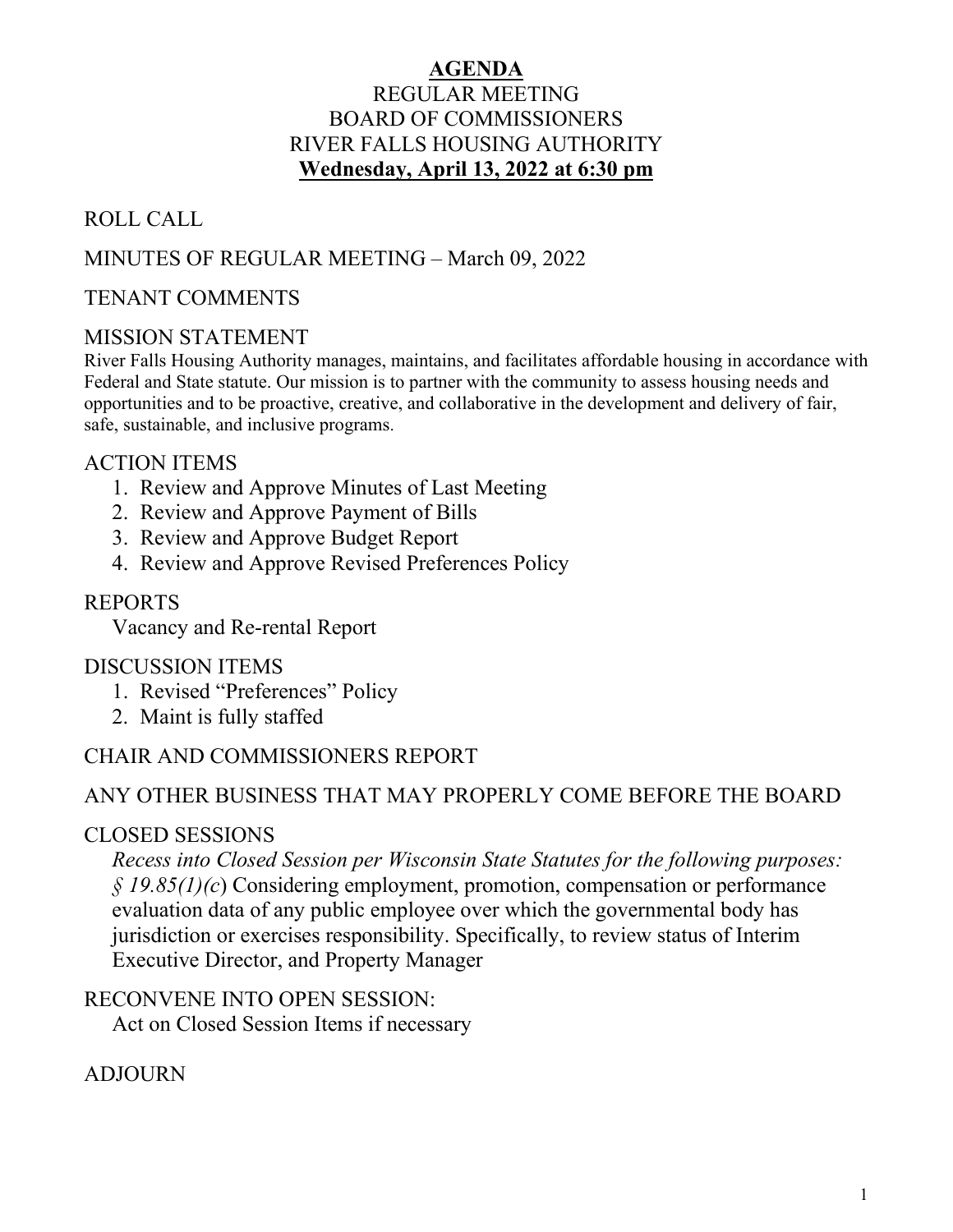# **AGENDA** REGULAR MEETING BOARD OF COMMISSIONERS RIVER FALLS HOUSING AUTHORITY **Wednesday, April 13, 2022 at 6:30 pm**

# ROLL CALL

# MINUTES OF REGULAR MEETING – March 09, 2022

# TENANT COMMENTS

# MISSION STATEMENT

River Falls Housing Authority manages, maintains, and facilitates affordable housing in accordance with Federal and State statute. Our mission is to partner with the community to assess housing needs and opportunities and to be proactive, creative, and collaborative in the development and delivery of fair, safe, sustainable, and inclusive programs.

# ACTION ITEMS

- 1. Review and Approve Minutes of Last Meeting
- 2. Review and Approve Payment of Bills
- 3. Review and Approve Budget Report
- 4. Review and Approve Revised Preferences Policy

# REPORTS

Vacancy and Re-rental Report

# DISCUSSION ITEMS

- 1. Revised "Preferences" Policy
- 2. Maint is fully staffed

# CHAIR AND COMMISSIONERS REPORT

# ANY OTHER BUSINESS THAT MAY PROPERLY COME BEFORE THE BOARD

# CLOSED SESSIONS

*Recess into Closed Session per Wisconsin State Statutes for the following purposes: § 19.85(1)(c*) Considering employment, promotion, compensation or performance evaluation data of any public employee over which the governmental body has jurisdiction or exercises responsibility. Specifically, to review status of Interim Executive Director, and Property Manager

# RECONVENE INTO OPEN SESSION:

Act on Closed Session Items if necessary

# ADJOURN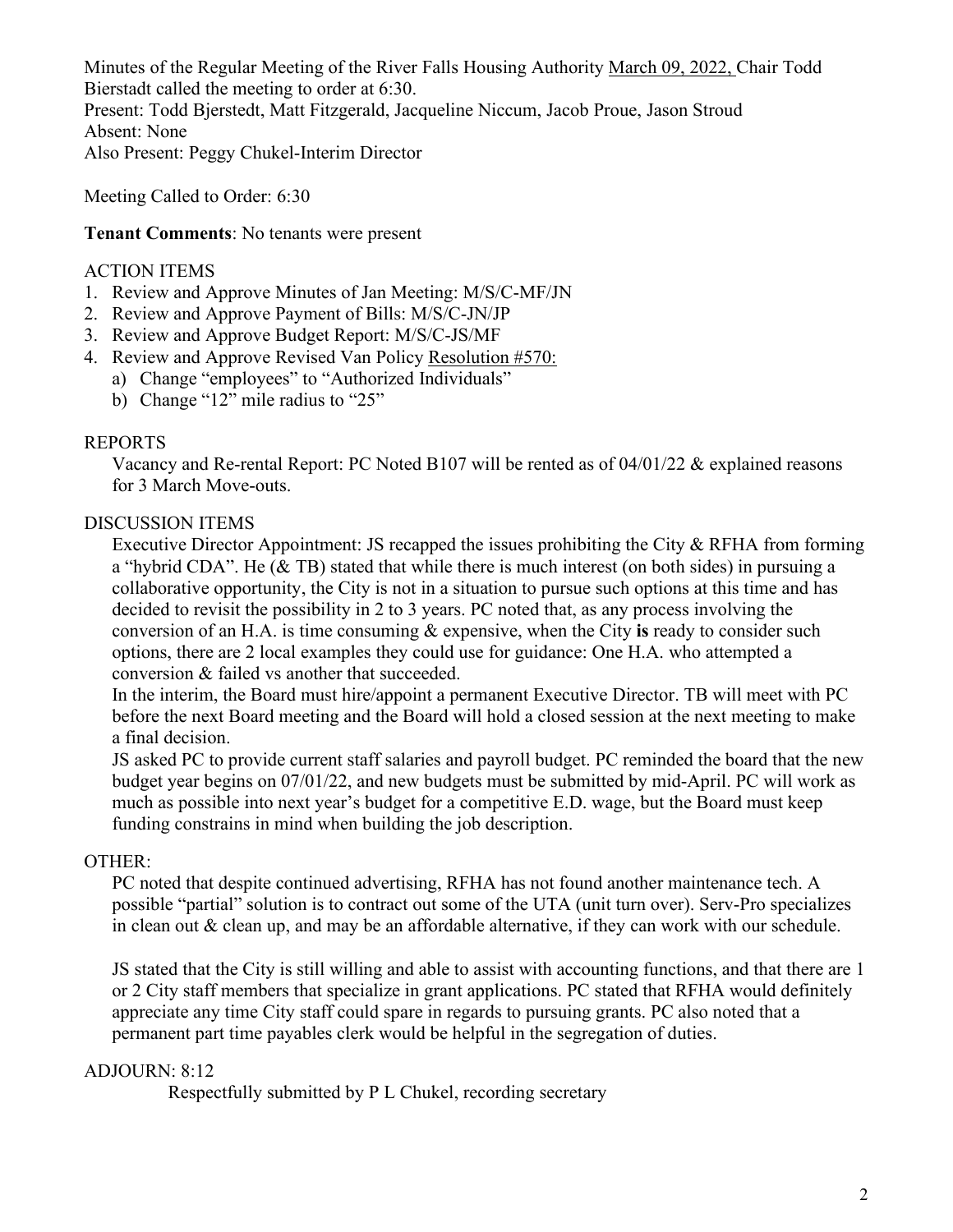Minutes of the Regular Meeting of the River Falls Housing Authority March 09, 2022, Chair Todd Bierstadt called the meeting to order at 6:30. Present: Todd Bjerstedt, Matt Fitzgerald, Jacqueline Niccum, Jacob Proue, Jason Stroud Absent: None Also Present: Peggy Chukel-Interim Director

Meeting Called to Order: 6:30

**Tenant Comments**: No tenants were present

#### ACTION ITEMS

- 1. Review and Approve Minutes of Jan Meeting: M/S/C-MF/JN
- 2. Review and Approve Payment of Bills: M/S/C-JN/JP
- 3. Review and Approve Budget Report: M/S/C-JS/MF
- 4. Review and Approve Revised Van Policy Resolution #570:
	- a) Change "employees" to "Authorized Individuals"
		- b) Change "12" mile radius to "25"

#### REPORTS

Vacancy and Re-rental Report: PC Noted B107 will be rented as of 04/01/22 & explained reasons for 3 March Move-outs.

#### DISCUSSION ITEMS

Executive Director Appointment: JS recapped the issues prohibiting the City & RFHA from forming a "hybrid CDA". He  $(\&$  TB) stated that while there is much interest (on both sides) in pursuing a collaborative opportunity, the City is not in a situation to pursue such options at this time and has decided to revisit the possibility in 2 to 3 years. PC noted that, as any process involving the conversion of an H.A. is time consuming & expensive, when the City **is** ready to consider such options, there are 2 local examples they could use for guidance: One H.A. who attempted a conversion & failed vs another that succeeded.

In the interim, the Board must hire/appoint a permanent Executive Director. TB will meet with PC before the next Board meeting and the Board will hold a closed session at the next meeting to make a final decision.

JS asked PC to provide current staff salaries and payroll budget. PC reminded the board that the new budget year begins on 07/01/22, and new budgets must be submitted by mid-April. PC will work as much as possible into next year's budget for a competitive E.D. wage, but the Board must keep funding constrains in mind when building the job description.

#### OTHER:

PC noted that despite continued advertising, RFHA has not found another maintenance tech. A possible "partial" solution is to contract out some of the UTA (unit turn over). Serv-Pro specializes in clean out & clean up, and may be an affordable alternative, if they can work with our schedule.

JS stated that the City is still willing and able to assist with accounting functions, and that there are 1 or 2 City staff members that specialize in grant applications. PC stated that RFHA would definitely appreciate any time City staff could spare in regards to pursuing grants. PC also noted that a permanent part time payables clerk would be helpful in the segregation of duties.

### ADJOURN: 8:12

Respectfully submitted by P L Chukel, recording secretary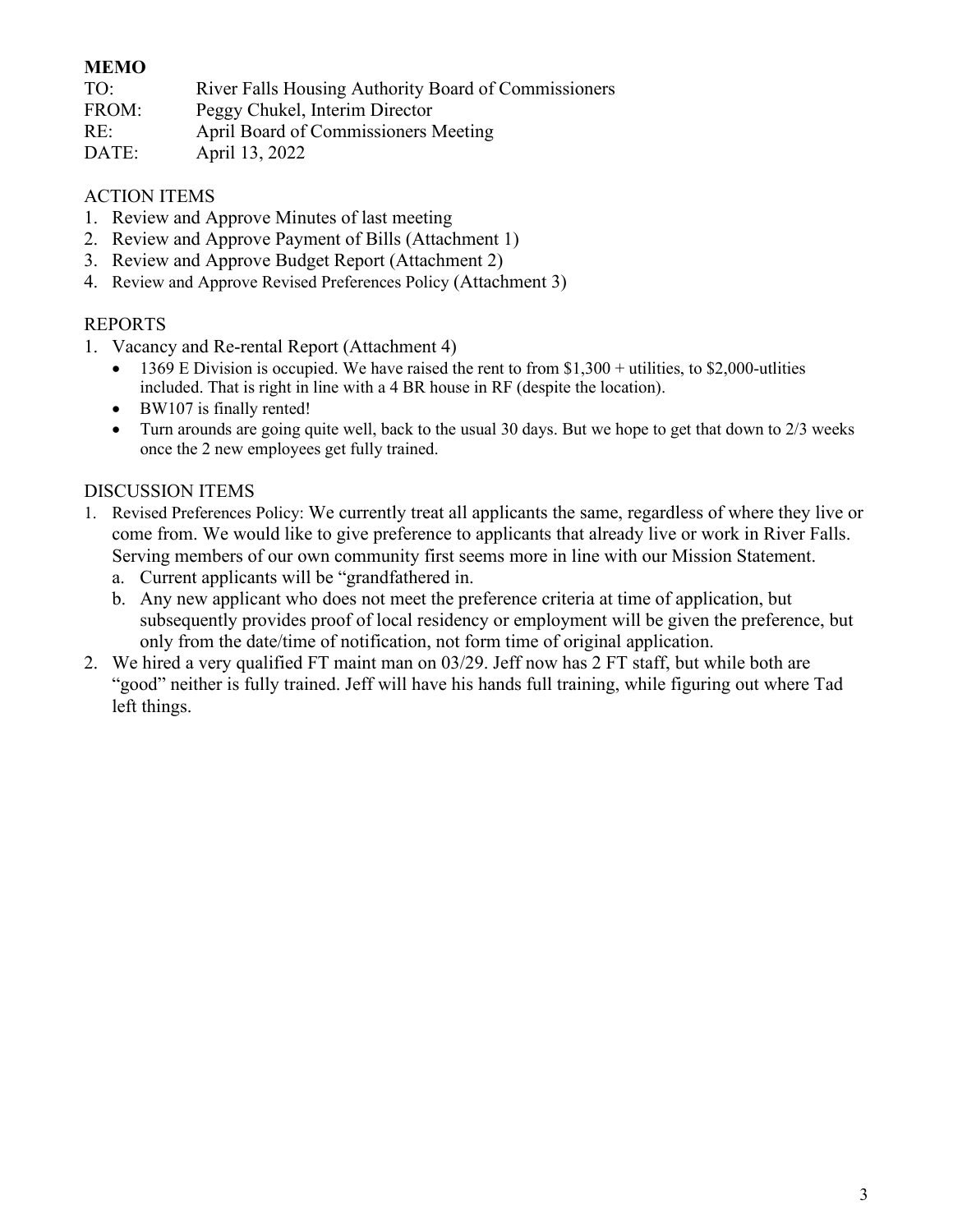### **MEMO**

| TO: | River Falls Housing Authority Board of Commissioners |
|-----|------------------------------------------------------|
|-----|------------------------------------------------------|

FROM: Peggy Chukel, Interim Director

- RE: April Board of Commissioners Meeting
- DATE: April 13, 2022

### ACTION ITEMS

- 1. Review and Approve Minutes of last meeting
- 2. Review and Approve Payment of Bills (Attachment 1)
- 3. Review and Approve Budget Report (Attachment 2)
- 4. Review and Approve Revised Preferences Policy (Attachment 3)

## REPORTS

- 1. Vacancy and Re-rental Report (Attachment 4)
	- 1369 E Division is occupied. We have raised the rent to from \$1,300 + utilities, to \$2,000-utlities included. That is right in line with a 4 BR house in RF (despite the location).
	- BW107 is finally rented!
	- Turn arounds are going quite well, back to the usual 30 days. But we hope to get that down to 2/3 weeks once the 2 new employees get fully trained.

### DISCUSSION ITEMS

- 1. Revised Preferences Policy: We currently treat all applicants the same, regardless of where they live or come from. We would like to give preference to applicants that already live or work in River Falls. Serving members of our own community first seems more in line with our Mission Statement.
	- a. Current applicants will be "grandfathered in.
	- b. Any new applicant who does not meet the preference criteria at time of application, but subsequently provides proof of local residency or employment will be given the preference, but only from the date/time of notification, not form time of original application.
- 2. We hired a very qualified FT maint man on 03/29. Jeff now has 2 FT staff, but while both are "good" neither is fully trained. Jeff will have his hands full training, while figuring out where Tad left things.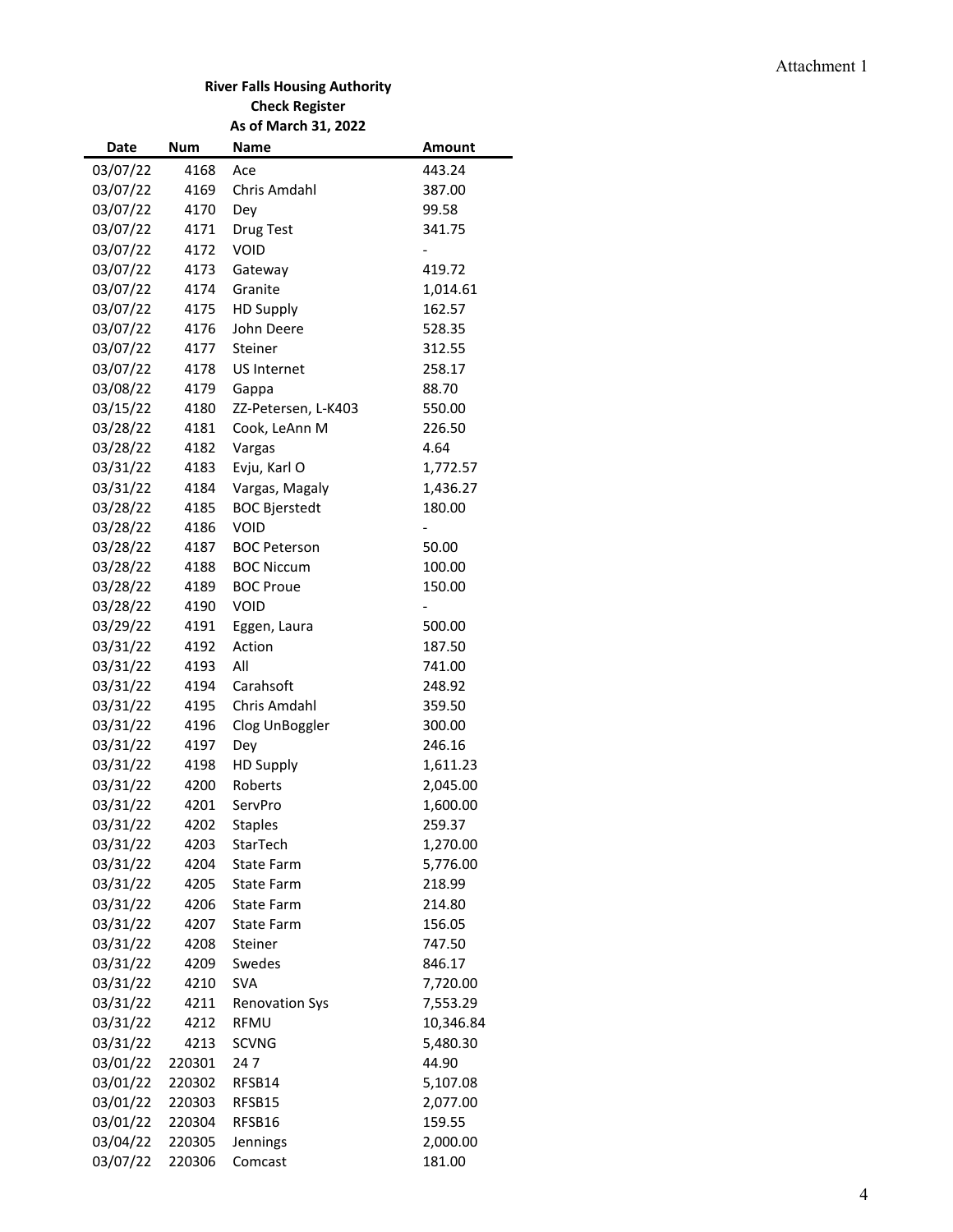#### Attachment 1

#### **River Falls Housing Authority Check Register As of March 31, 2022**

| Date     | Num    | Name                  | <b>Amount</b> |
|----------|--------|-----------------------|---------------|
| 03/07/22 | 4168   | Ace                   | 443.24        |
| 03/07/22 | 4169   | Chris Amdahl          | 387.00        |
| 03/07/22 | 4170   | Dey                   | 99.58         |
| 03/07/22 | 4171   | Drug Test             | 341.75        |
| 03/07/22 | 4172   | <b>VOID</b>           |               |
| 03/07/22 | 4173   | Gateway               | 419.72        |
| 03/07/22 | 4174   | Granite               | 1,014.61      |
| 03/07/22 | 4175   | <b>HD Supply</b>      | 162.57        |
| 03/07/22 | 4176   | John Deere            | 528.35        |
| 03/07/22 | 4177   | Steiner               | 312.55        |
| 03/07/22 | 4178   | <b>US Internet</b>    | 258.17        |
| 03/08/22 | 4179   | Gappa                 | 88.70         |
| 03/15/22 | 4180   | ZZ-Petersen, L-K403   | 550.00        |
| 03/28/22 | 4181   | Cook, LeAnn M         | 226.50        |
| 03/28/22 | 4182   | Vargas                | 4.64          |
| 03/31/22 | 4183   | Evju, Karl O          | 1,772.57      |
| 03/31/22 | 4184   | Vargas, Magaly        | 1,436.27      |
| 03/28/22 | 4185   | <b>BOC Bjerstedt</b>  | 180.00        |
| 03/28/22 | 4186   | <b>VOID</b>           |               |
| 03/28/22 | 4187   | <b>BOC Peterson</b>   | 50.00         |
| 03/28/22 | 4188   | <b>BOC Niccum</b>     | 100.00        |
| 03/28/22 | 4189   | <b>BOC Proue</b>      | 150.00        |
| 03/28/22 | 4190   | <b>VOID</b>           |               |
| 03/29/22 | 4191   | Eggen, Laura          | 500.00        |
| 03/31/22 | 4192   | Action                | 187.50        |
| 03/31/22 | 4193   | All                   | 741.00        |
| 03/31/22 | 4194   | Carahsoft             | 248.92        |
| 03/31/22 | 4195   | Chris Amdahl          | 359.50        |
| 03/31/22 | 4196   | Clog UnBoggler        | 300.00        |
| 03/31/22 | 4197   | Dey                   | 246.16        |
| 03/31/22 | 4198   | <b>HD Supply</b>      | 1,611.23      |
| 03/31/22 | 4200   | Roberts               | 2,045.00      |
| 03/31/22 | 4201   | ServPro               | 1,600.00      |
| 03/31/22 | 4202   | <b>Staples</b>        | 259.37        |
| 03/31/22 | 4203   | StarTech              | 1,270.00      |
| 03/31/22 | 4204   | <b>State Farm</b>     | 5,776.00      |
| 03/31/22 | 4205   | <b>State Farm</b>     | 218.99        |
| 03/31/22 | 4206   | State Farm            | 214.80        |
| 03/31/22 | 4207   | State Farm            | 156.05        |
| 03/31/22 | 4208   | Steiner               | 747.50        |
| 03/31/22 | 4209   | Swedes                | 846.17        |
| 03/31/22 | 4210   | <b>SVA</b>            | 7,720.00      |
| 03/31/22 | 4211   | <b>Renovation Sys</b> | 7,553.29      |
| 03/31/22 | 4212   | RFMU                  | 10,346.84     |
| 03/31/22 | 4213   | <b>SCVNG</b>          | 5,480.30      |
| 03/01/22 | 220301 | 247                   | 44.90         |
| 03/01/22 | 220302 | RFSB14                | 5,107.08      |
| 03/01/22 | 220303 | RFSB15                | 2,077.00      |
| 03/01/22 | 220304 | RFSB16                | 159.55        |
| 03/04/22 | 220305 | Jennings              | 2,000.00      |
| 03/07/22 | 220306 | Comcast               | 181.00        |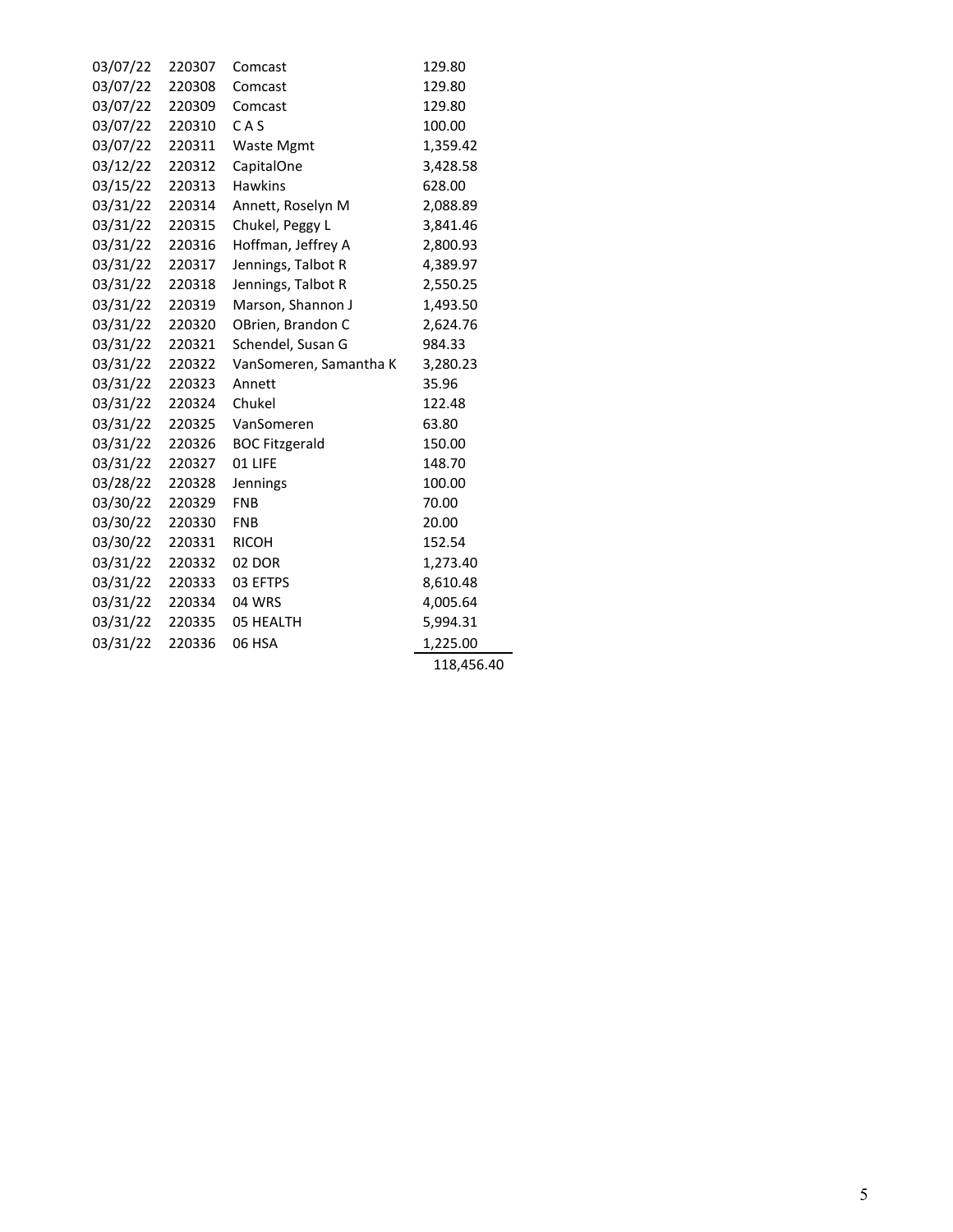| 03/07/22 | 220307 | Comcast                | 129.80     |
|----------|--------|------------------------|------------|
| 03/07/22 | 220308 | Comcast                | 129.80     |
| 03/07/22 | 220309 | Comcast                | 129.80     |
| 03/07/22 | 220310 | CAS                    | 100.00     |
| 03/07/22 | 220311 | <b>Waste Mgmt</b>      | 1,359.42   |
| 03/12/22 | 220312 | CapitalOne             | 3,428.58   |
| 03/15/22 | 220313 | <b>Hawkins</b>         | 628.00     |
| 03/31/22 | 220314 | Annett, Roselyn M      | 2,088.89   |
| 03/31/22 | 220315 | Chukel, Peggy L        | 3,841.46   |
| 03/31/22 | 220316 | Hoffman, Jeffrey A     | 2,800.93   |
| 03/31/22 | 220317 | Jennings, Talbot R     | 4,389.97   |
| 03/31/22 | 220318 | Jennings, Talbot R     | 2,550.25   |
| 03/31/22 | 220319 | Marson, Shannon J      | 1,493.50   |
| 03/31/22 | 220320 | OBrien, Brandon C      | 2,624.76   |
| 03/31/22 | 220321 | Schendel, Susan G      | 984.33     |
| 03/31/22 | 220322 | VanSomeren, Samantha K | 3,280.23   |
| 03/31/22 | 220323 | Annett                 | 35.96      |
| 03/31/22 | 220324 | Chukel                 | 122.48     |
| 03/31/22 | 220325 | VanSomeren             | 63.80      |
| 03/31/22 | 220326 | <b>BOC Fitzgerald</b>  | 150.00     |
| 03/31/22 | 220327 | 01 LIFE                | 148.70     |
| 03/28/22 | 220328 | Jennings               | 100.00     |
| 03/30/22 | 220329 | <b>FNB</b>             | 70.00      |
| 03/30/22 | 220330 | <b>FNB</b>             | 20.00      |
| 03/30/22 | 220331 | <b>RICOH</b>           | 152.54     |
| 03/31/22 | 220332 | 02 DOR                 | 1,273.40   |
| 03/31/22 | 220333 | 03 EFTPS               | 8,610.48   |
| 03/31/22 | 220334 | 04 WRS                 | 4,005.64   |
| 03/31/22 | 220335 | 05 HEALTH              | 5,994.31   |
| 03/31/22 | 220336 | 06 HSA                 | 1,225.00   |
|          |        |                        | 118,456.40 |
|          |        |                        |            |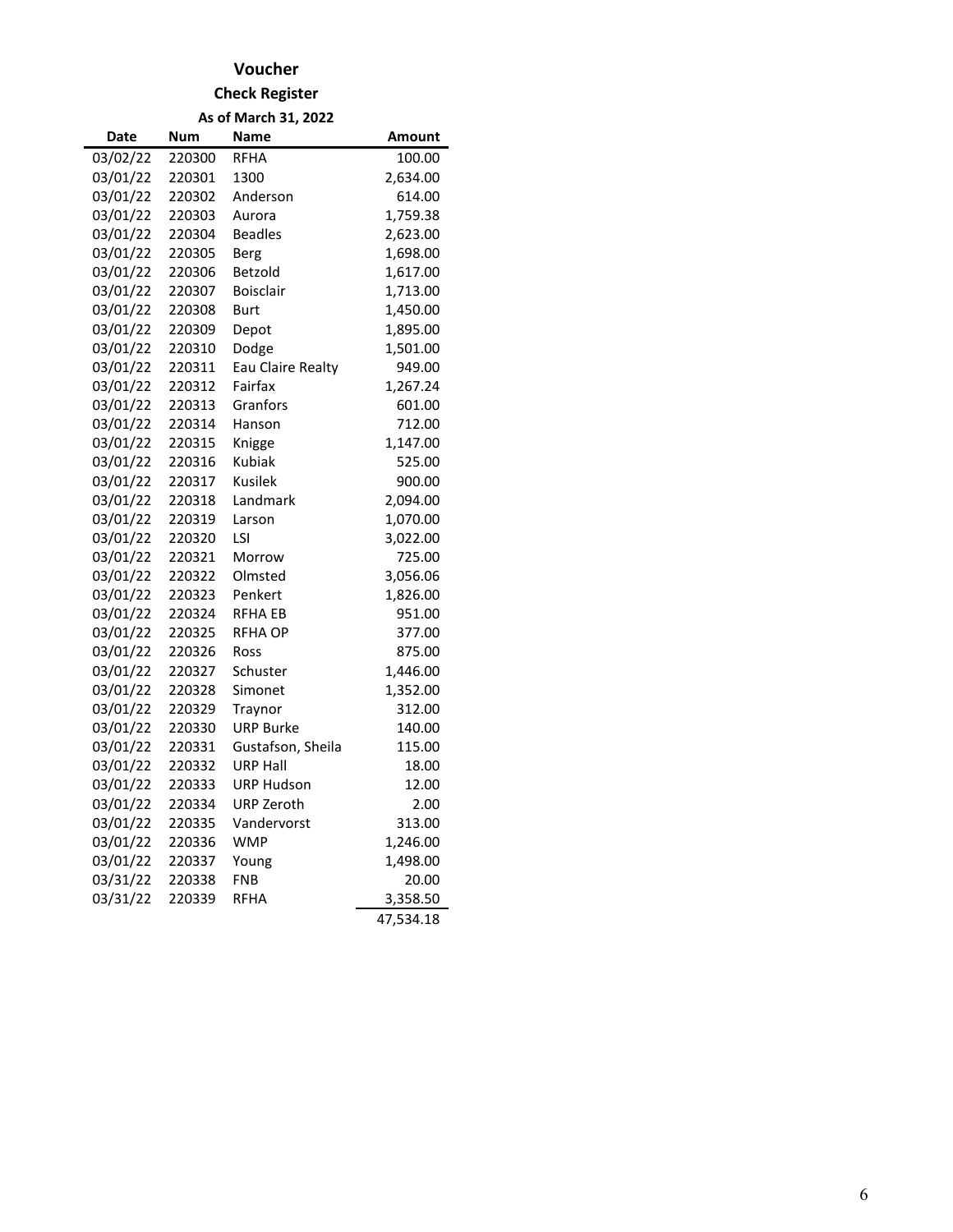## **Voucher**

#### **Check Register**

**As of March 31, 2022**

| Date     | <b>Num</b> | Name              | Amount    |
|----------|------------|-------------------|-----------|
| 03/02/22 | 220300     | <b>RFHA</b>       | 100.00    |
| 03/01/22 | 220301     | 1300              | 2,634.00  |
| 03/01/22 | 220302     | Anderson          | 614.00    |
| 03/01/22 | 220303     | Aurora            | 1,759.38  |
| 03/01/22 | 220304     | <b>Beadles</b>    | 2,623.00  |
| 03/01/22 | 220305     | <b>Berg</b>       | 1,698.00  |
| 03/01/22 | 220306     | Betzold           | 1,617.00  |
| 03/01/22 | 220307     | <b>Boisclair</b>  | 1,713.00  |
| 03/01/22 | 220308     | Burt              | 1,450.00  |
| 03/01/22 | 220309     | Depot             | 1,895.00  |
| 03/01/22 | 220310     | Dodge             | 1,501.00  |
| 03/01/22 | 220311     | Eau Claire Realty | 949.00    |
| 03/01/22 | 220312     | Fairfax           | 1,267.24  |
| 03/01/22 | 220313     | Granfors          | 601.00    |
| 03/01/22 | 220314     | Hanson            | 712.00    |
| 03/01/22 | 220315     | Knigge            | 1,147.00  |
| 03/01/22 | 220316     | Kubiak            | 525.00    |
| 03/01/22 | 220317     | Kusilek           | 900.00    |
| 03/01/22 | 220318     | Landmark          | 2,094.00  |
| 03/01/22 | 220319     | Larson            | 1,070.00  |
| 03/01/22 | 220320     | LSI               | 3,022.00  |
| 03/01/22 | 220321     | Morrow            | 725.00    |
| 03/01/22 | 220322     | Olmsted           | 3,056.06  |
| 03/01/22 | 220323     | Penkert           | 1,826.00  |
| 03/01/22 | 220324     | RFHA EB           | 951.00    |
| 03/01/22 | 220325     | RFHA OP           | 377.00    |
| 03/01/22 | 220326     | Ross              | 875.00    |
| 03/01/22 | 220327     | Schuster          | 1,446.00  |
| 03/01/22 | 220328     | Simonet           | 1,352.00  |
| 03/01/22 | 220329     | Traynor           | 312.00    |
| 03/01/22 | 220330     | <b>URP Burke</b>  | 140.00    |
| 03/01/22 | 220331     | Gustafson, Sheila | 115.00    |
| 03/01/22 | 220332     | URP Hall          | 18.00     |
| 03/01/22 | 220333     | <b>URP Hudson</b> | 12.00     |
| 03/01/22 | 220334     | <b>URP Zeroth</b> | 2.00      |
| 03/01/22 | 220335     | Vandervorst       | 313.00    |
| 03/01/22 | 220336     | <b>WMP</b>        | 1,246.00  |
| 03/01/22 | 220337     | Young             | 1,498.00  |
| 03/31/22 | 220338     | <b>FNB</b>        | 20.00     |
| 03/31/22 | 220339     | <b>RFHA</b>       | 3,358.50  |
|          |            |                   | 47,534.18 |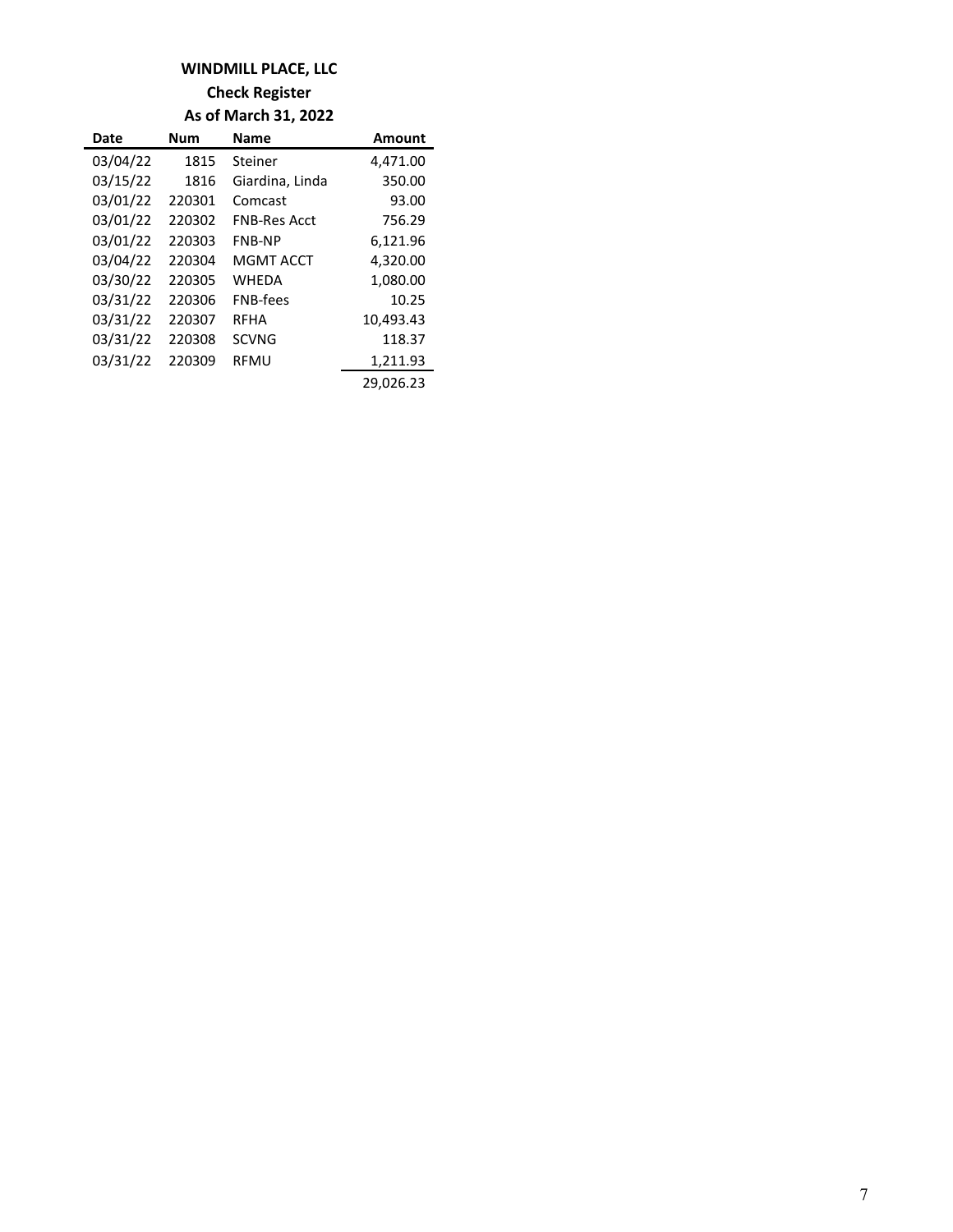## **WINDMILL PLACE, LLC**

**Check Register**

**As of March 31, 2022**

| Date     | <b>Num</b> | <b>Name</b>         | <b>Amount</b> |
|----------|------------|---------------------|---------------|
| 03/04/22 | 1815       | Steiner             | 4,471.00      |
| 03/15/22 | 1816       | Giardina, Linda     | 350.00        |
| 03/01/22 | 220301     | Comcast             | 93.00         |
| 03/01/22 | 220302     | <b>FNB-Res Acct</b> | 756.29        |
| 03/01/22 | 220303     | <b>FNB-NP</b>       | 6,121.96      |
| 03/04/22 | 220304     | <b>MGMT ACCT</b>    | 4,320.00      |
| 03/30/22 | 220305     | <b>WHEDA</b>        | 1,080.00      |
| 03/31/22 | 220306     | <b>FNB-fees</b>     | 10.25         |
| 03/31/22 | 220307     | <b>RFHA</b>         | 10,493.43     |
| 03/31/22 | 220308     | <b>SCVNG</b>        | 118.37        |
| 03/31/22 | 220309     | <b>RFMU</b>         | 1,211.93      |
|          |            |                     | 29,026.23     |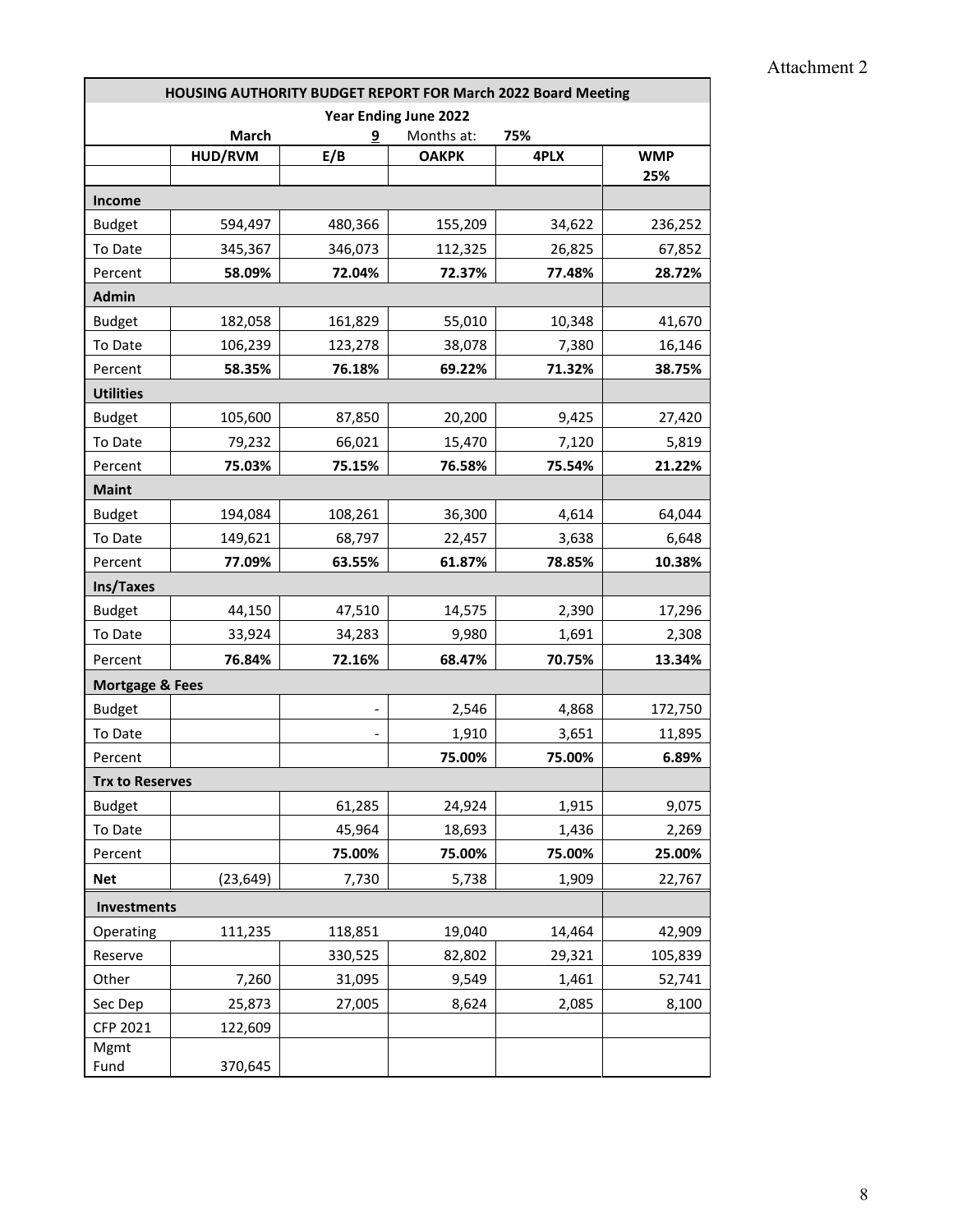| HOUSING AUTHORITY BUDGET REPORT FOR March 2022 Board Meeting |           |         |              |        |            |  |
|--------------------------------------------------------------|-----------|---------|--------------|--------|------------|--|
| <b>Year Ending June 2022</b>                                 |           |         |              |        |            |  |
|                                                              | March     | 9       | Months at:   | 75%    |            |  |
|                                                              | HUD/RVM   | E/B     | <b>OAKPK</b> | 4PLX   | <b>WMP</b> |  |
|                                                              |           |         |              |        | 25%        |  |
| <b>Income</b>                                                |           |         |              |        |            |  |
| <b>Budget</b>                                                | 594,497   | 480,366 | 155,209      | 34,622 | 236,252    |  |
| To Date                                                      | 345,367   | 346,073 | 112,325      | 26,825 | 67,852     |  |
| Percent                                                      | 58.09%    | 72.04%  | 72.37%       | 77.48% | 28.72%     |  |
| <b>Admin</b>                                                 |           |         |              |        |            |  |
| <b>Budget</b>                                                | 182,058   | 161,829 | 55,010       | 10,348 | 41,670     |  |
| To Date                                                      | 106,239   | 123,278 | 38,078       | 7,380  | 16,146     |  |
| Percent                                                      | 58.35%    | 76.18%  | 69.22%       | 71.32% | 38.75%     |  |
| <b>Utilities</b>                                             |           |         |              |        |            |  |
| <b>Budget</b>                                                | 105,600   | 87,850  | 20,200       | 9,425  | 27,420     |  |
| To Date                                                      | 79,232    | 66,021  | 15,470       | 7,120  | 5,819      |  |
| Percent                                                      | 75.03%    | 75.15%  | 76.58%       | 75.54% | 21.22%     |  |
| <b>Maint</b>                                                 |           |         |              |        |            |  |
| <b>Budget</b>                                                | 194,084   | 108,261 | 36,300       | 4,614  | 64,044     |  |
| To Date                                                      | 149,621   | 68,797  | 22,457       | 3,638  | 6,648      |  |
| Percent                                                      | 77.09%    | 63.55%  | 61.87%       | 78.85% | 10.38%     |  |
| Ins/Taxes                                                    |           |         |              |        |            |  |
| <b>Budget</b>                                                | 44,150    | 47,510  | 14,575       | 2,390  | 17,296     |  |
| To Date                                                      | 33,924    | 34,283  | 9,980        | 1,691  | 2,308      |  |
| Percent                                                      | 76.84%    | 72.16%  | 68.47%       | 70.75% | 13.34%     |  |
| <b>Mortgage &amp; Fees</b>                                   |           |         |              |        |            |  |
| <b>Budget</b>                                                |           |         | 2,546        | 4,868  | 172,750    |  |
| To Date                                                      |           |         | 1,910        | 3,651  | 11,895     |  |
| Percent                                                      |           |         | 75.00%       | 75.00% | 6.89%      |  |
| <b>Trx to Reserves</b>                                       |           |         |              |        |            |  |
| <b>Budget</b>                                                |           | 61,285  | 24,924       | 1,915  | 9,075      |  |
| To Date                                                      |           | 45,964  | 18,693       | 1,436  | 2,269      |  |
| Percent                                                      |           | 75.00%  | 75.00%       | 75.00% | 25.00%     |  |
| <b>Net</b>                                                   | (23, 649) | 7,730   | 5,738        | 1,909  | 22,767     |  |
| Investments                                                  |           |         |              |        |            |  |
| Operating                                                    | 111,235   | 118,851 | 19,040       | 14,464 | 42,909     |  |
| Reserve                                                      |           | 330,525 | 82,802       | 29,321 | 105,839    |  |
| Other                                                        | 7,260     | 31,095  | 9,549        | 1,461  | 52,741     |  |
| Sec Dep                                                      | 25,873    | 27,005  | 8,624        | 2,085  | 8,100      |  |
| CFP 2021                                                     |           |         |              |        |            |  |
| Mgmt                                                         | 122,609   |         |              |        |            |  |
| Fund                                                         | 370,645   |         |              |        |            |  |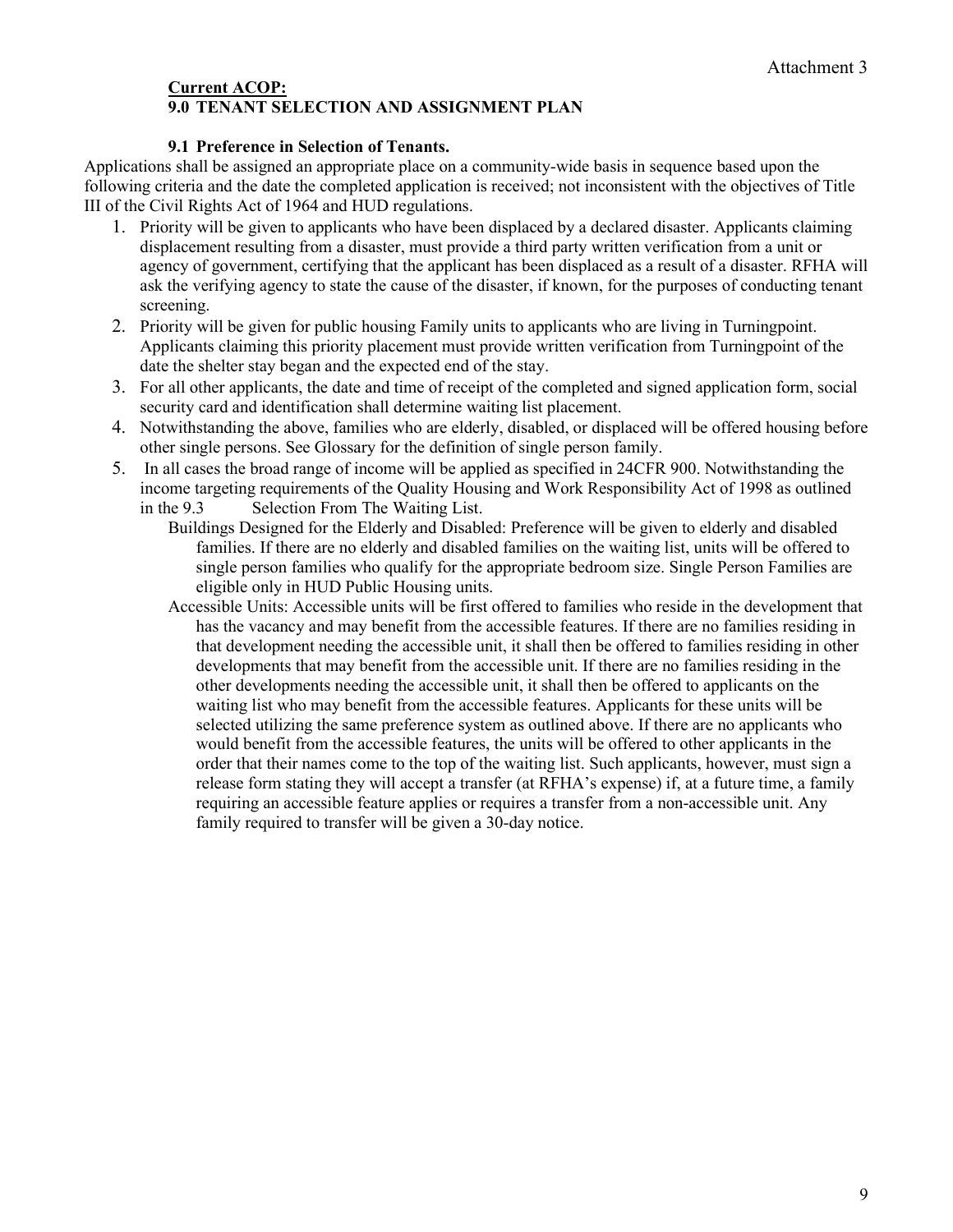#### **Current ACOP: 9.0 TENANT SELECTION AND ASSIGNMENT PLAN**

#### **9.1 Preference in Selection of Tenants.**

Applications shall be assigned an appropriate place on a community-wide basis in sequence based upon the following criteria and the date the completed application is received; not inconsistent with the objectives of Title III of the Civil Rights Act of 1964 and HUD regulations.

- 1. Priority will be given to applicants who have been displaced by a declared disaster. Applicants claiming displacement resulting from a disaster, must provide a third party written verification from a unit or agency of government, certifying that the applicant has been displaced as a result of a disaster. RFHA will ask the verifying agency to state the cause of the disaster, if known, for the purposes of conducting tenant screening.
- 2. Priority will be given for public housing Family units to applicants who are living in Turningpoint. Applicants claiming this priority placement must provide written verification from Turningpoint of the date the shelter stay began and the expected end of the stay.
- 3. For all other applicants, the date and time of receipt of the completed and signed application form, social security card and identification shall determine waiting list placement.
- 4. Notwithstanding the above, families who are elderly, disabled, or displaced will be offered housing before other single persons. See Glossary for the definition of single person family.
- 5. In all cases the broad range of income will be applied as specified in 24CFR 900. Notwithstanding the income targeting requirements of the Quality Housing and Work Responsibility Act of 1998 as outlined in the 9.3 Selection From The Waiting List.
	- Buildings Designed for the Elderly and Disabled: Preference will be given to elderly and disabled families. If there are no elderly and disabled families on the waiting list, units will be offered to single person families who qualify for the appropriate bedroom size. Single Person Families are eligible only in HUD Public Housing units.
	- Accessible Units: Accessible units will be first offered to families who reside in the development that has the vacancy and may benefit from the accessible features. If there are no families residing in that development needing the accessible unit, it shall then be offered to families residing in other developments that may benefit from the accessible unit. If there are no families residing in the other developments needing the accessible unit, it shall then be offered to applicants on the waiting list who may benefit from the accessible features. Applicants for these units will be selected utilizing the same preference system as outlined above. If there are no applicants who would benefit from the accessible features, the units will be offered to other applicants in the order that their names come to the top of the waiting list. Such applicants, however, must sign a release form stating they will accept a transfer (at RFHA's expense) if, at a future time, a family requiring an accessible feature applies or requires a transfer from a non-accessible unit. Any family required to transfer will be given a 30-day notice.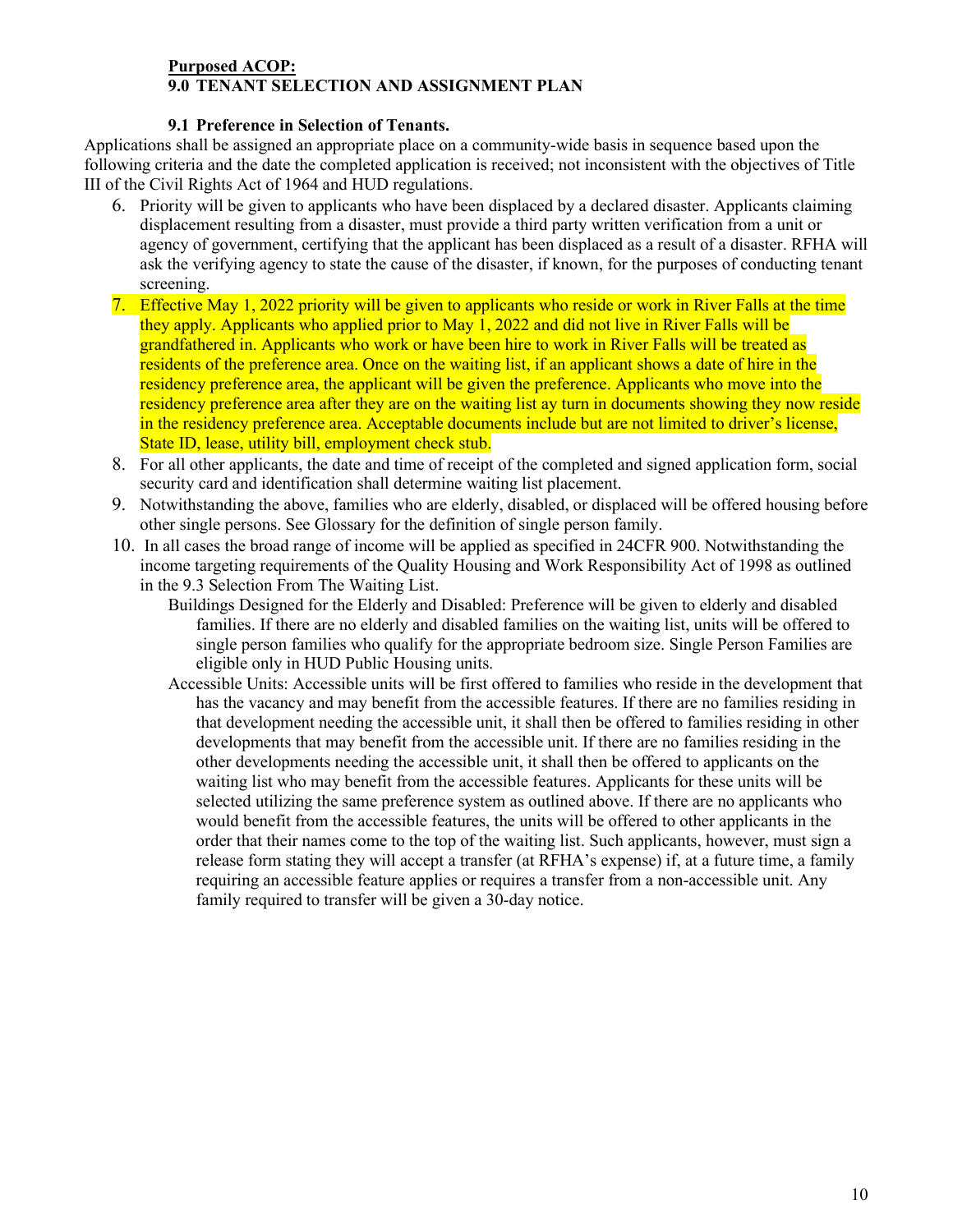#### **Purposed ACOP: 9.0 TENANT SELECTION AND ASSIGNMENT PLAN**

#### **9.1 Preference in Selection of Tenants.**

Applications shall be assigned an appropriate place on a community-wide basis in sequence based upon the following criteria and the date the completed application is received; not inconsistent with the objectives of Title III of the Civil Rights Act of 1964 and HUD regulations.

- 6. Priority will be given to applicants who have been displaced by a declared disaster. Applicants claiming displacement resulting from a disaster, must provide a third party written verification from a unit or agency of government, certifying that the applicant has been displaced as a result of a disaster. RFHA will ask the verifying agency to state the cause of the disaster, if known, for the purposes of conducting tenant screening.
- 7. Effective May 1, 2022 priority will be given to applicants who reside or work in River Falls at the time they apply. Applicants who applied prior to May 1, 2022 and did not live in River Falls will be grandfathered in. Applicants who work or have been hire to work in River Falls will be treated as residents of the preference area. Once on the waiting list, if an applicant shows a date of hire in the residency preference area, the applicant will be given the preference. Applicants who move into the residency preference area after they are on the waiting list ay turn in documents showing they now reside in the residency preference area. Acceptable documents include but are not limited to driver's license, State ID, lease, utility bill, employment check stub.
- 8. For all other applicants, the date and time of receipt of the completed and signed application form, social security card and identification shall determine waiting list placement.
- 9. Notwithstanding the above, families who are elderly, disabled, or displaced will be offered housing before other single persons. See Glossary for the definition of single person family.
- 10. In all cases the broad range of income will be applied as specified in 24CFR 900. Notwithstanding the income targeting requirements of the Quality Housing and Work Responsibility Act of 1998 as outlined in the 9.3 Selection From The Waiting List.
	- Buildings Designed for the Elderly and Disabled: Preference will be given to elderly and disabled families. If there are no elderly and disabled families on the waiting list, units will be offered to single person families who qualify for the appropriate bedroom size. Single Person Families are eligible only in HUD Public Housing units.
	- Accessible Units: Accessible units will be first offered to families who reside in the development that has the vacancy and may benefit from the accessible features. If there are no families residing in that development needing the accessible unit, it shall then be offered to families residing in other developments that may benefit from the accessible unit. If there are no families residing in the other developments needing the accessible unit, it shall then be offered to applicants on the waiting list who may benefit from the accessible features. Applicants for these units will be selected utilizing the same preference system as outlined above. If there are no applicants who would benefit from the accessible features, the units will be offered to other applicants in the order that their names come to the top of the waiting list. Such applicants, however, must sign a release form stating they will accept a transfer (at RFHA's expense) if, at a future time, a family requiring an accessible feature applies or requires a transfer from a non-accessible unit. Any family required to transfer will be given a 30-day notice.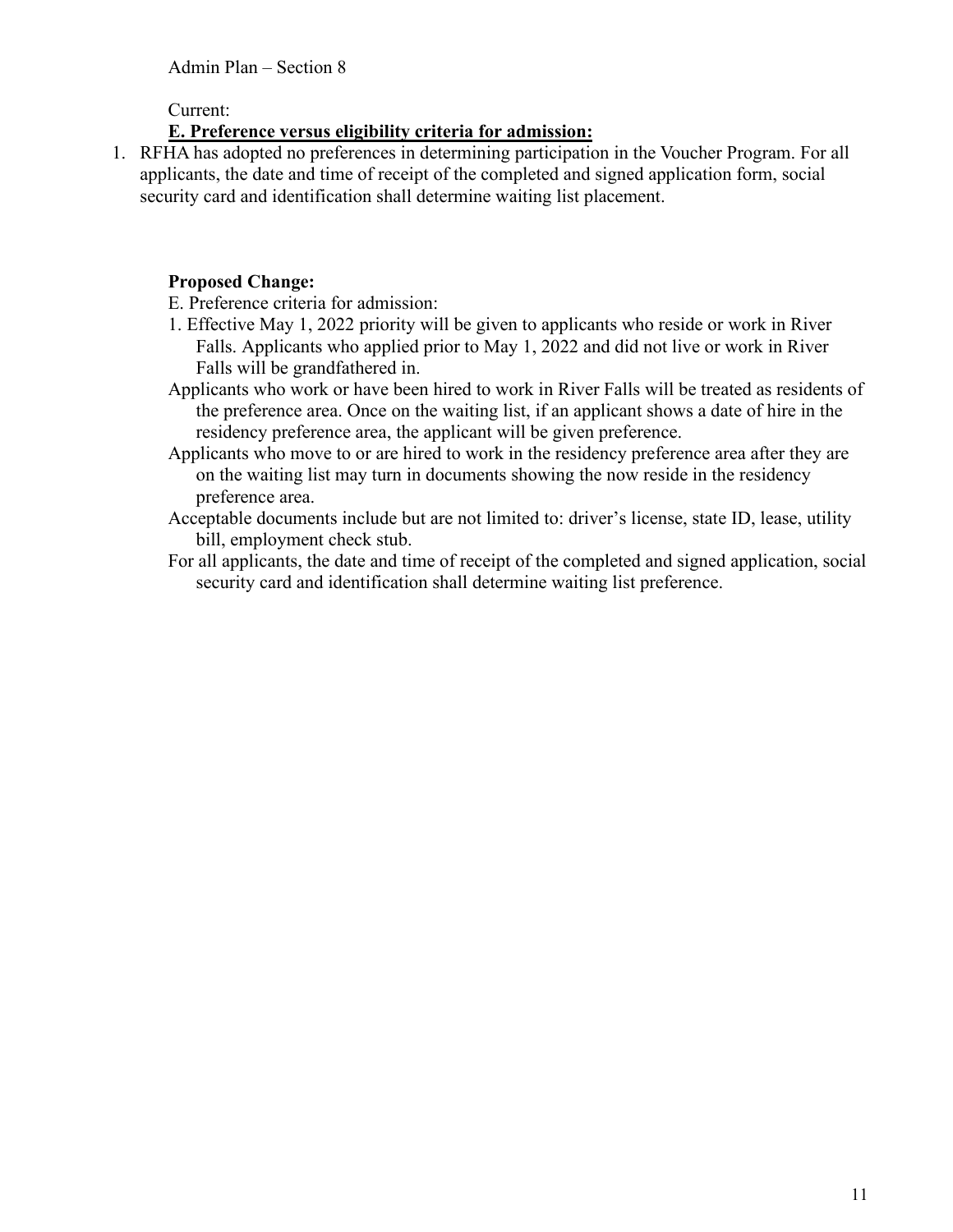Current:

## **E. Preference versus eligibility criteria for admission:**

1. RFHA has adopted no preferences in determining participation in the Voucher Program. For all applicants, the date and time of receipt of the completed and signed application form, social security card and identification shall determine waiting list placement.

# **Proposed Change:**

E. Preference criteria for admission:

- 1. Effective May 1, 2022 priority will be given to applicants who reside or work in River Falls. Applicants who applied prior to May 1, 2022 and did not live or work in River Falls will be grandfathered in.
- Applicants who work or have been hired to work in River Falls will be treated as residents of the preference area. Once on the waiting list, if an applicant shows a date of hire in the residency preference area, the applicant will be given preference.
- Applicants who move to or are hired to work in the residency preference area after they are on the waiting list may turn in documents showing the now reside in the residency preference area.
- Acceptable documents include but are not limited to: driver's license, state ID, lease, utility bill, employment check stub.
- For all applicants, the date and time of receipt of the completed and signed application, social security card and identification shall determine waiting list preference.